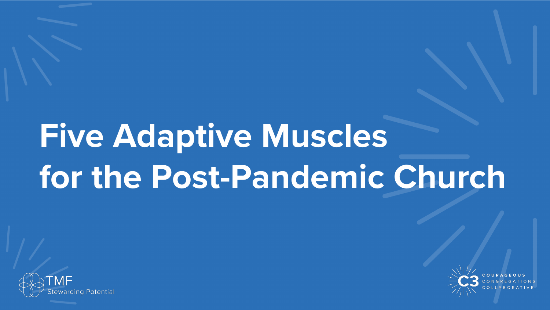# **Five Adaptive Muscles for the Post-Pandemic Church**



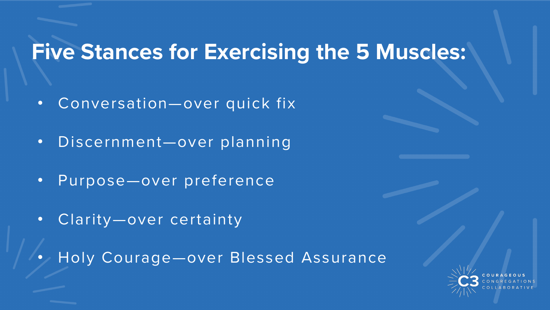#### **Five Stances for Exercising the 5 Muscles:**

- Conversation—over quick fix
- Discernment—over planning
- Purpose—over preference
- Clarity-over certainty
- Holy Courage-over Blessed Assurance

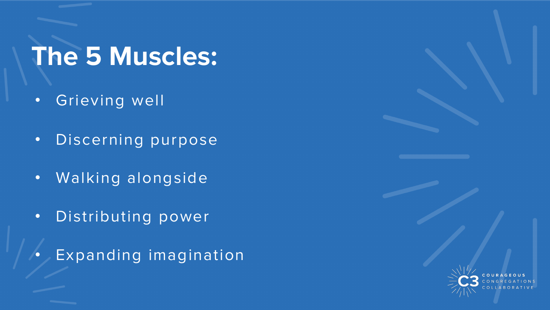#### **The 5 Muscles:**

- Grieving well
- Discerning purpose
- Walking alongside
- Distributing power
- Expanding imagination

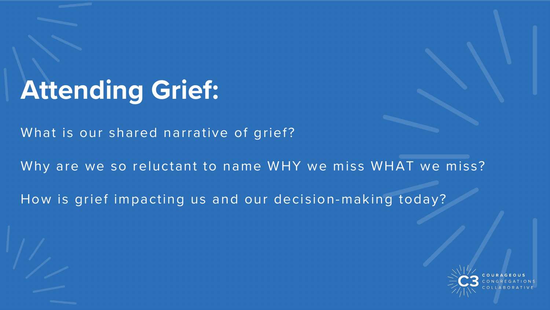## **Attending Grief:**

What is our shared narrative of grief?

Why are we so reluctant to name WHY we miss WHAT we miss?

How is grief impacting us and our decision-making today?

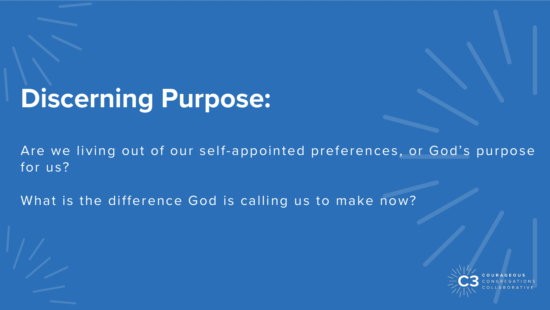# **Discerning Purpose:**

Are we living out of our self-appointed preferences, or God's purpose for us?

What is the difference God is calling us to make now?

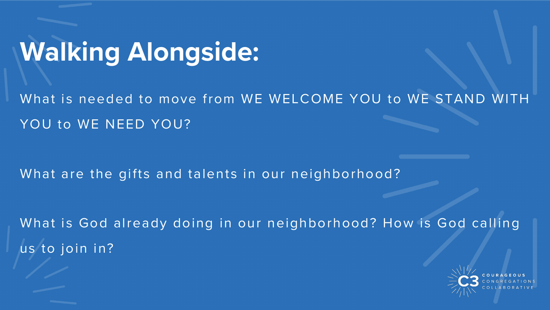### **Walking Alongside:**

What is needed to move from WE WELCOME YOU to WE STAND WITH YOU to WE NEED YOU?

What are the gifts and talents in our neighborhood?

What is God already doing in our neighborhood? How is God calling us to join in?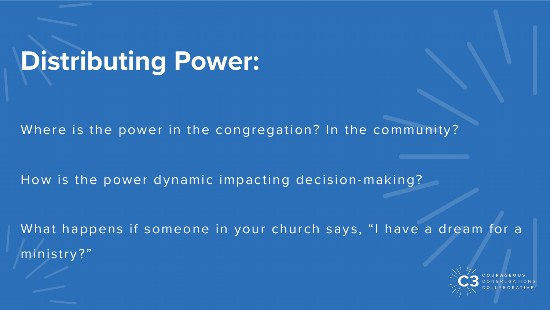# **Distributing Power:**

Where is the power in the congregation? In the community?

How is the power dynamic impacting decision-making?

What happens if someone in your church says, "I have a dream for a ministry?"

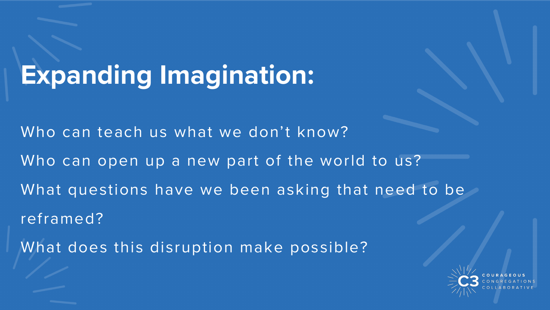# **Expanding Imagination:**

Who can teach us what we don't know?

Who can open up a new part of the world to us?

What questions have we been asking that need to be

reframed?

What does this disruption make possible?